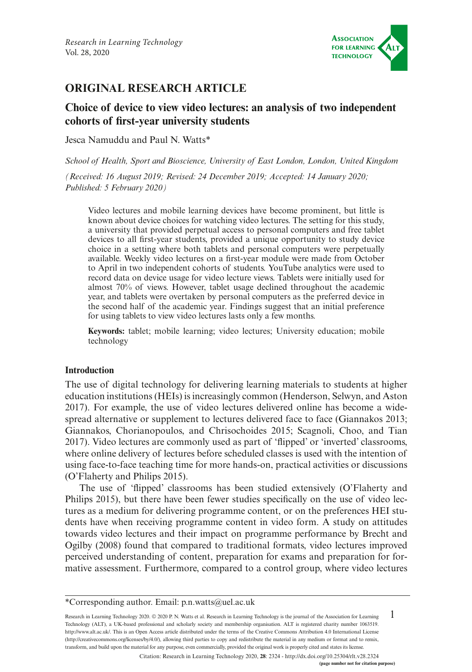

# **ORIGINAL RESEARCH ARTICLE**

# **Choice of device to view video lectures: an analysis of two independent cohorts of frst-year university students**

Jesca Namuddu and Paul N. Watts\*

*School of Health, Sport and Bioscience, University of East London, London, United Kingdom*

*(Received: 16 August 2019; Revised: 24 December 2019; Accepted: 14 January 2020; Published: 5 February 2020)*

Video lectures and mobile learning devices have become prominent, but little is known about device choices for watching video lectures. The setting for this study, a university that provided perpetual access to personal computers and free tablet devices to all frst-year students, provided a unique opportunity to study device choice in a setting where both tablets and personal computers were perpetually available. Weekly video lectures on a frst-year module were made from October to April in two independent cohorts of students. YouTube analytics were used to record data on device usage for video lecture views. Tablets were initially used for almost 70% of views. However, tablet usage declined throughout the academic year, and tablets were overtaken by personal computers as the preferred device in the second half of the academic year. Findings suggest that an initial preference for using tablets to view video lectures lasts only a few months.

**Keywords:** tablet; mobile learning; video lectures; University education; mobile technology

### **Introduction**

The use of digital technology for delivering learning materials to students at higher education institutions (HEIs) is increasingly common (Henderson, Selwyn, and Aston 2017). For example, the use of video lectures delivered online has become a widespread alternative or supplement to lectures delivered face to face (Giannakos 2013; Giannakos, Chorianopoulos, and Chrisochoides 2015; Scagnoli, Choo, and Tian 2017). Video lectures are commonly used as part of 'fipped' or 'inverted' classrooms, where online delivery of lectures before scheduled classes is used with the intention of using face-to-face teaching time for more hands-on, practical activities or discussions (O'Flaherty and Philips 2015).

The use of 'fipped' classrooms has been studied extensively (O'Flaherty and Philips 2015), but there have been fewer studies specifcally on the use of video lectures as a medium for delivering programme content, or on the preferences HEI students have when receiving programme content in video form. A study on attitudes towards video lectures and their impact on programme performance by Brecht and Ogilby (2008) found that compared to traditional formats, video lectures improved perceived understanding of content, preparation for exams and preparation for formative assessment. Furthermore, compared to a control group, where video lectures

1 Research in Learning Technology 2020. © 2020 P. N. Watts et al. Research in Learning Technology is the journal of the Association for Learning Technology (ALT), a UK-based professional and scholarly society and membership organisation. ALT is registered charity number 1063519. [http://www.alt.ac.uk/.](http://www.alt.ac.uk/) This is an Open Access article distributed under the terms of the Creative Commons Attribution 4.0 International License (<http://creativecommons.org/licenses/by/4.0/>), allowing third parties to copy and redistribute the material in any medium or format and to remix, transform, and build upon the material for any purpose, even commercially, provided the original work is properly cited and states its license.

Citation: Research in Learning Technology 2020, **28**: 2324 - <http://dx.doi.org/10.25304/rlt.v28.2324>

<sup>\*</sup>Corresponding author. Email: [p.n.watts@uel.ac.uk](mailto:p.n.watts@uel.ac.uk)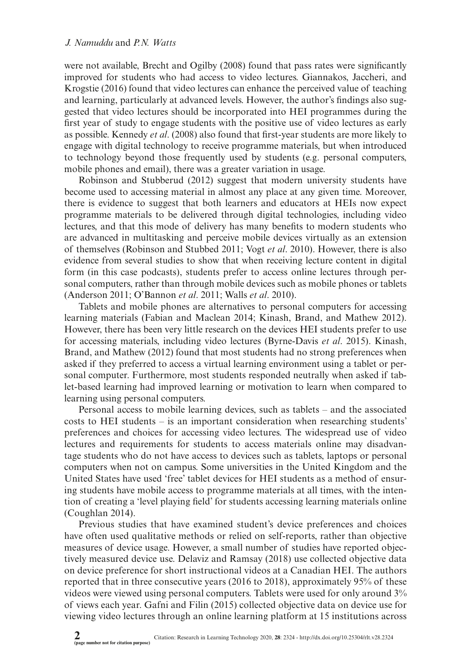were not available, Brecht and Ogilby (2008) found that pass rates were signifcantly improved for students who had access to video lectures. Giannakos, Jaccheri, and Krogstie (2016) found that video lectures can enhance the perceived value of teaching and learning, particularly at advanced levels. However, the author's fndings also suggested that video lectures should be incorporated into HEI programmes during the frst year of study to engage students with the positive use of video lectures as early as possible. Kennedy *et al*. (2008) also found that frst-year students are more likely to engage with digital technology to receive programme materials, but when introduced to technology beyond those frequently used by students (e.g. personal computers, mobile phones and email), there was a greater variation in usage.

Robinson and Stubberud (2012) suggest that modern university students have become used to accessing material in almost any place at any given time. Moreover, there is evidence to suggest that both learners and educators at HEIs now expect programme materials to be delivered through digital technologies, including video lectures, and that this mode of delivery has many benefts to modern students who are advanced in multitasking and perceive mobile devices virtually as an extension of themselves (Robinson and Stubbed 2011; Vogt *et al*. 2010). However, there is also evidence from several studies to show that when receiving lecture content in digital form (in this case podcasts), students prefer to access online lectures through personal computers, rather than through mobile devices such as mobile phones or tablets (Anderson 2011; O'Bannon *et al*. 2011; Walls *et al*. 2010).

Tablets and mobile phones are alternatives to personal computers for accessing learning materials (Fabian and Maclean 2014; Kinash, Brand, and Mathew 2012). However, there has been very little research on the devices HEI students prefer to use for accessing materials, including video lectures (Byrne-Davis *et al*. 2015). Kinash, Brand, and Mathew (2012) found that most students had no strong preferences when asked if they preferred to access a virtual learning environment using a tablet or personal computer. Furthermore, most students responded neutrally when asked if tablet-based learning had improved learning or motivation to learn when compared to learning using personal computers.

Personal access to mobile learning devices, such as tablets – and the associated costs to HEI students – is an important consideration when researching students' preferences and choices for accessing video lectures. The widespread use of video lectures and requirements for students to access materials online may disadvantage students who do not have access to devices such as tablets, laptops or personal computers when not on campus. Some universities in the United Kingdom and the United States have used 'free' tablet devices for HEI students as a method of ensuring students have mobile access to programme materials at all times, with the intention of creating a 'level playing feld' for students accessing learning materials online (Coughlan 2014).

Previous studies that have examined student's device preferences and choices have often used qualitative methods or relied on self-reports, rather than objective measures of device usage. However, a small number of studies have reported objectively measured device use. Delaviz and Ramsay (2018) use collected objective data on device preference for short instructional videos at a Canadian HEI. The authors reported that in three consecutive years (2016 to 2018), approximately 95% of these videos were viewed using personal computers. Tablets were used for only around 3% of views each year. Gafni and Filin (2015) collected objective data on device use for viewing video lectures through an online learning platform at 15 institutions across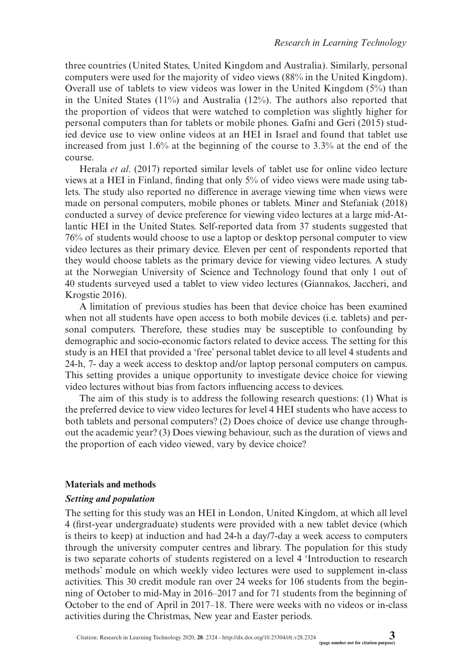three countries (United States, United Kingdom and Australia). Similarly, personal computers were used for the majority of video views (88% in the United Kingdom). Overall use of tablets to view videos was lower in the United Kingdom (5%) than in the United States  $(11\%)$  and Australia  $(12\%)$ . The authors also reported that the proportion of videos that were watched to completion was slightly higher for personal computers than for tablets or mobile phones. Gafni and Geri (2015) studied device use to view online videos at an HEI in Israel and found that tablet use increased from just 1.6% at the beginning of the course to 3.3% at the end of the course.

Herala *et al*. (2017) reported similar levels of tablet use for online video lecture views at a HEI in Finland, fnding that only 5% of video views were made using tablets. The study also reported no difference in average viewing time when views were made on personal computers, mobile phones or tablets. Miner and Stefaniak (2018) conducted a survey of device preference for viewing video lectures at a large mid-Atlantic HEI in the United States. Self-reported data from 37 students suggested that 76% of students would choose to use a laptop or desktop personal computer to view video lectures as their primary device. Eleven per cent of respondents reported that they would choose tablets as the primary device for viewing video lectures. A study at the Norwegian University of Science and Technology found that only 1 out of 40 students surveyed used a tablet to view video lectures (Giannakos, Jaccheri, and Krogstie 2016).

A limitation of previous studies has been that device choice has been examined when not all students have open access to both mobile devices (i.e. tablets) and personal computers. Therefore, these studies may be susceptible to confounding by demographic and socio-economic factors related to device access. The setting for this study is an HEI that provided a 'free' personal tablet device to all level 4 students and 24-h, 7- day a week access to desktop and/or laptop personal computers on campus. This setting provides a unique opportunity to investigate device choice for viewing video lectures without bias from factors infuencing access to devices.

The aim of this study is to address the following research questions: (1) What is the preferred device to view video lectures for level 4 HEI students who have access to both tablets and personal computers? (2) Does choice of device use change throughout the academic year? (3) Does viewing behaviour, such as the duration of views and the proportion of each video viewed, vary by device choice?

#### **Materials and methods**

#### *Setting and population*

The setting for this study was an HEI in London, United Kingdom, at which all level 4 (frst-year undergraduate) students were provided with a new tablet device (which is theirs to keep) at induction and had 24-h a day/7-day a week access to computers through the university computer centres and library. The population for this study is two separate cohorts of students registered on a level 4 'Introduction to research methods' module on which weekly video lectures were used to supplement in-class activities. This 30 credit module ran over 24 weeks for 106 students from the beginning of October to mid-May in 2016–2017 and for 71 students from the beginning of October to the end of April in 2017–18. There were weeks with no videos or in-class activities during the Christmas, New year and Easter periods.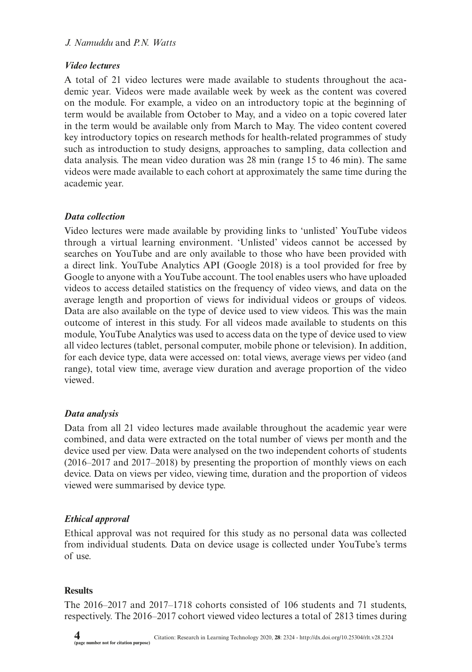### *J. Namuddu* and *P.N. Watts*

## *Video lectures*

A total of 21 video lectures were made available to students throughout the academic year. Videos were made available week by week as the content was covered on the module. For example, a video on an introductory topic at the beginning of term would be available from October to May, and a video on a topic covered later in the term would be available only from March to May. The video content covered key introductory topics on research methods for health-related programmes of study such as introduction to study designs, approaches to sampling, data collection and data analysis. The mean video duration was 28 min (range 15 to 46 min). The same videos were made available to each cohort at approximately the same time during the academic year.

### *Data collection*

Video lectures were made available by providing links to 'unlisted' YouTube videos through a virtual learning environment. 'Unlisted' videos cannot be accessed by searches on YouTube and are only available to those who have been provided with a direct link. YouTube Analytics API (Google 2018) is a tool provided for free by Google to anyone with a YouTube account. The tool enables users who have uploaded videos to access detailed statistics on the frequency of video views, and data on the average length and proportion of views for individual videos or groups of videos. Data are also available on the type of device used to view videos. This was the main outcome of interest in this study. For all videos made available to students on this module, YouTube Analytics was used to access data on the type of device used to view all video lectures (tablet, personal computer, mobile phone or television). In addition, for each device type, data were accessed on: total views, average views per video (and range), total view time, average view duration and average proportion of the video viewed.

## *Data analysis*

Data from all 21 video lectures made available throughout the academic year were combined, and data were extracted on the total number of views per month and the device used per view. Data were analysed on the two independent cohorts of students (2016–2017 and 2017–2018) by presenting the proportion of monthly views on each device. Data on views per video, viewing time, duration and the proportion of videos viewed were summarised by device type.

## *Ethical approval*

Ethical approval was not required for this study as no personal data was collected from individual students. Data on device usage is collected under YouTube's terms of use.

## **Results**

The 2016–2017 and 2017–1718 cohorts consisted of 106 students and 71 students, respectively. The 2016–2017 cohort viewed video lectures a total of 2813 times during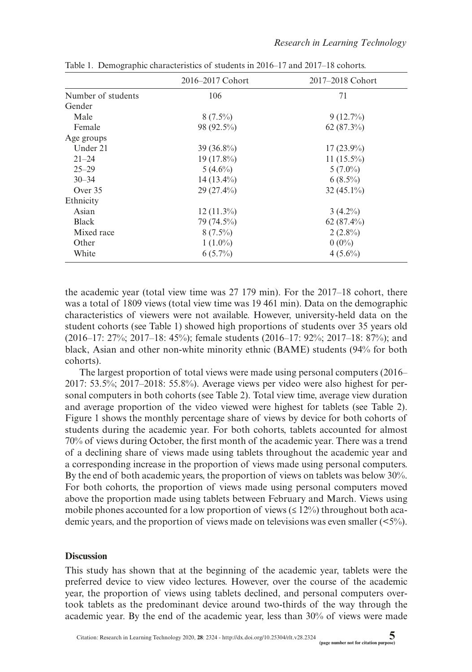|                    | 2016–2017 Cohort | 2017–2018 Cohort |
|--------------------|------------------|------------------|
| Number of students | 106              | 71               |
| Gender             |                  |                  |
| Male               | $8(7.5\%)$       | $9(12.7\%)$      |
| Female             | 98 (92.5%)       | $62(87.3\%)$     |
| Age groups         |                  |                  |
| Under 21           | $39(36.8\%)$     | $17(23.9\%)$     |
| $21 - 24$          | 19 $(17.8\%)$    | $11(15.5\%)$     |
| $25 - 29$          | $5(4.6\%)$       | $5(7.0\%)$       |
| $30 - 34$          | $14(13.4\%)$     | $6(8.5\%)$       |
| Over 35            | $29(27.4\%)$     | $32(45.1\%)$     |
| Ethnicity          |                  |                  |
| Asian              | $12(11.3\%)$     | $3(4.2\%)$       |
| <b>Black</b>       | 79 (74.5%)       | $62(87.4\%)$     |
| Mixed race         | $8(7.5\%)$       | $2(2.8\%)$       |
| Other              | $1(1.0\%)$       | $0(0\%)$         |
| White              | $6(5.7\%)$       | $4(5.6\%)$       |

Table 1. Demographic characteristics of students in 2016–17 and 2017–18 cohorts.

the academic year (total view time was 27 179 min). For the 2017–18 cohort, there was a total of 1809 views (total view time was 19 461 min). Data on the demographic characteristics of viewers were not available. However, university-held data on the student cohorts (see Table 1) showed high proportions of students over 35 years old (2016–17: 27%; 2017–18: 45%); female students (2016–17: 92%; 2017–18: 87%); and black, Asian and other non-white minority ethnic (BAME) students (94% for both cohorts).

The largest proportion of total views were made using personal computers (2016– 2017: 53.5%; 2017–2018: 55.8%). Average views per video were also highest for personal computers in both cohorts (see Table 2). Total view time, average view duration and average proportion of the video viewed were highest for tablets (see Table 2). Figure 1 shows the monthly percentage share of views by device for both cohorts of students during the academic year. For both cohorts, tablets accounted for almost 70% of views during October, the frst month of the academic year. There was a trend of a declining share of views made using tablets throughout the academic year and a corresponding increase in the proportion of views made using personal computers. By the end of both academic years, the proportion of views on tablets was below 30%. For both cohorts, the proportion of views made using personal computers moved above the proportion made using tablets between February and March. Views using mobile phones accounted for a low proportion of views  $(≤ 12%)$  throughout both academic years, and the proportion of views made on televisions was even smaller  $(\leq 5\%)$ .

#### **Discussion**

This study has shown that at the beginning of the academic year, tablets were the preferred device to view video lectures. However, over the course of the academic year, the proportion of views using tablets declined, and personal computers overtook tablets as the predominant device around two-thirds of the way through the academic year. By the end of the academic year, less than 30% of views were made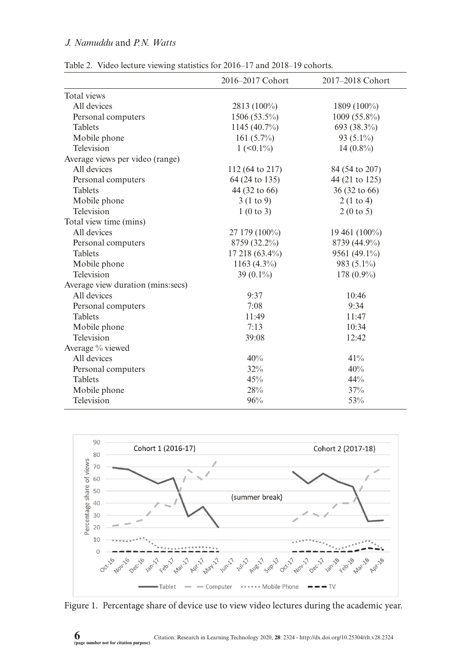# *J. Namuddu* and *P.N. Watts*

|  |  |  |  |  | Table 2. Video lecture viewing statistics for 2016–17 and 2018–19 cohorts. |  |  |  |  |  |
|--|--|--|--|--|----------------------------------------------------------------------------|--|--|--|--|--|
|--|--|--|--|--|----------------------------------------------------------------------------|--|--|--|--|--|

|                                   | 2016-2017 Cohort                       | 2017-2018 Cohort   |
|-----------------------------------|----------------------------------------|--------------------|
| Total views                       |                                        |                    |
| All devices                       | 2813 (100%)                            | $1809(100\%)$      |
| Personal computers                | $1506(53.5\%)$                         | $1009(55.8\%)$     |
| <b>Tablets</b>                    | 1145 (40.7%)                           | 693 (38.3%)        |
| Mobile phone                      | 161 $(5.7\%)$                          | 93 (5.1%)          |
| Television                        | $1 \left( \langle 0.1 \rangle \right)$ | $14(0.8\%)$        |
| Average views per video (range)   |                                        |                    |
| All devices                       | 112 (64 to 217)                        | 84 (54 to 207)     |
| Personal computers                | 64 (24 to 135)                         | 44 (21 to 125)     |
| <b>Tablets</b>                    | 44 (32 to 66)                          | 36 (32 to 66)      |
| Mobile phone                      | 3(1 to 9)                              | 2(1 to 4)          |
| Television                        | 1(0 to 3)                              | 2(0 to 5)          |
| Total view time (mins)            |                                        |                    |
| All devices                       | 27 179 (100%)                          | $19\,461\,(100\%)$ |
| Personal computers                | 8759 (32.2%)                           | 8739 (44.9%)       |
| <b>Tablets</b>                    | 17 218 (63.4%)                         | 9561 (49.1%)       |
| Mobile phone                      | $1163(4.3\%)$                          | 983 (5.1%)         |
| Television                        | 39 $(0.1\%)$                           | 178 $(0.9\%)$      |
| Average view duration (mins:secs) |                                        |                    |
| All devices                       | 9:37                                   | 10:46              |
| Personal computers                | 7:08                                   | 9:34               |
| <b>Tablets</b>                    | 11:49                                  | 11:47              |
| Mobile phone                      | 7:13                                   | 10:34              |
| Television                        | 39:08                                  | 12:42              |
| Average % viewed                  |                                        |                    |
| All devices                       | 40%                                    | 41%                |
| Personal computers                | 32%                                    | 40%                |
| <b>Tablets</b>                    | 45%                                    | 44%                |
| Mobile phone                      | 28%                                    | 37%                |
| Television                        | 96%                                    | 53%                |



Figure 1. Percentage share of device use to view video lectures during the academic year.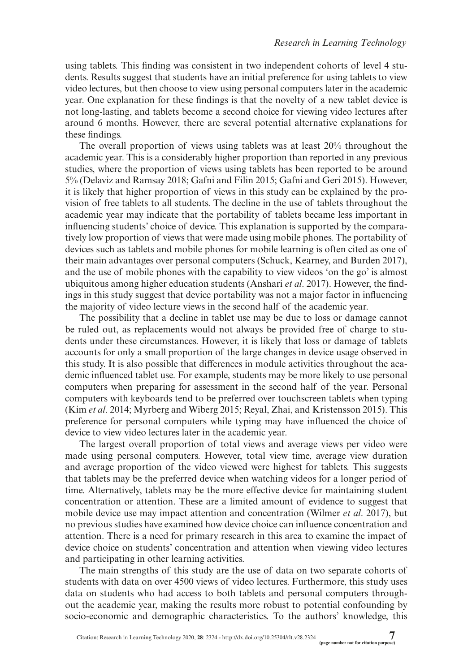using tablets. This fnding was consistent in two independent cohorts of level 4 students. Results suggest that students have an initial preference for using tablets to view video lectures, but then choose to view using personal computers later in the academic year. One explanation for these fndings is that the novelty of a new tablet device is not long-lasting, and tablets become a second choice for viewing video lectures after around 6 months. However, there are several potential alternative explanations for these fndings.

The overall proportion of views using tablets was at least 20% throughout the academic year. This is a considerably higher proportion than reported in any previous studies, where the proportion of views using tablets has been reported to be around 5% (Delaviz and Ramsay 2018; Gafni and Filin 2015; Gafni and Geri 2015). However, it is likely that higher proportion of views in this study can be explained by the provision of free tablets to all students. The decline in the use of tablets throughout the academic year may indicate that the portability of tablets became less important in infuencing students' choice of device. This explanation is supported by the comparatively low proportion of views that were made using mobile phones. The portability of devices such as tablets and mobile phones for mobile learning is often cited as one of their main advantages over personal computers (Schuck, Kearney, and Burden 2017), and the use of mobile phones with the capability to view videos 'on the go' is almost ubiquitous among higher education students (Anshari *et al*. 2017). However, the fndings in this study suggest that device portability was not a major factor in infuencing the majority of video lecture views in the second half of the academic year.

The possibility that a decline in tablet use may be due to loss or damage cannot be ruled out, as replacements would not always be provided free of charge to students under these circumstances. However, it is likely that loss or damage of tablets accounts for only a small proportion of the large changes in device usage observed in this study. It is also possible that differences in module activities throughout the academic infuenced tablet use. For example, students may be more likely to use personal computers when preparing for assessment in the second half of the year. Personal computers with keyboards tend to be preferred over touchscreen tablets when typing (Kim *et al*. 2014; Myrberg and Wiberg 2015; Reyal, Zhai, and Kristensson 2015). This preference for personal computers while typing may have infuenced the choice of device to view video lectures later in the academic year.

The largest overall proportion of total views and average views per video were made using personal computers. However, total view time, average view duration and average proportion of the video viewed were highest for tablets. This suggests that tablets may be the preferred device when watching videos for a longer period of time. Alternatively, tablets may be the more effective device for maintaining student concentration or attention. These are a limited amount of evidence to suggest that mobile device use may impact attention and concentration (Wilmer *et al*. 2017), but no previous studies have examined how device choice can infuence concentration and attention. There is a need for primary research in this area to examine the impact of device choice on students' concentration and attention when viewing video lectures and participating in other learning activities.

The main strengths of this study are the use of data on two separate cohorts of students with data on over 4500 views of video lectures. Furthermore, this study uses data on students who had access to both tablets and personal computers throughout the academic year, making the results more robust to potential confounding by socio-economic and demographic characteristics. To the authors' knowledge, this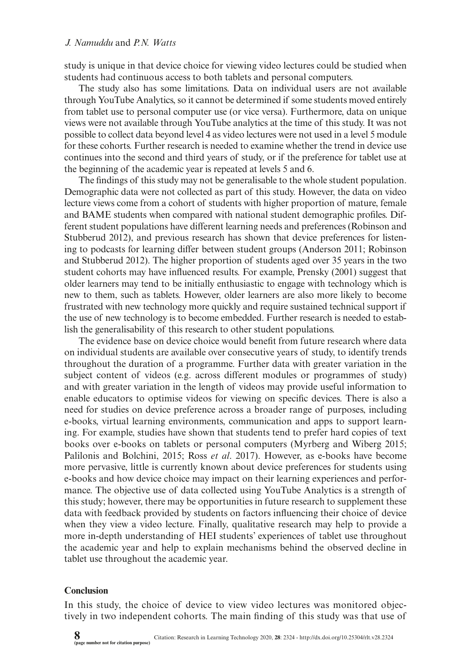#### *J. Namuddu* and *P.N. Watts*

study is unique in that device choice for viewing video lectures could be studied when students had continuous access to both tablets and personal computers.

The study also has some limitations. Data on individual users are not available through YouTube Analytics, so it cannot be determined if some students moved entirely from tablet use to personal computer use (or vice versa). Furthermore, data on unique views were not available through YouTube analytics at the time of this study. It was not possible to collect data beyond level 4 as video lectures were not used in a level 5 module for these cohorts. Further research is needed to examine whether the trend in device use continues into the second and third years of study, or if the preference for tablet use at the beginning of the academic year is repeated at levels 5 and 6.

The fndings of this study may not be generalisable to the whole student population. Demographic data were not collected as part of this study. However, the data on video lecture views come from a cohort of students with higher proportion of mature, female and BAME students when compared with national student demographic profles. Different student populations have different learning needs and preferences (Robinson and Stubberud 2012), and previous research has shown that device preferences for listening to podcasts for learning differ between student groups (Anderson 2011; Robinson and Stubberud 2012). The higher proportion of students aged over 35 years in the two student cohorts may have infuenced results. For example, Prensky (2001) suggest that older learners may tend to be initially enthusiastic to engage with technology which is new to them, such as tablets. However, older learners are also more likely to become frustrated with new technology more quickly and require sustained technical support if the use of new technology is to become embedded. Further research is needed to establish the generalisability of this research to other student populations.

The evidence base on device choice would beneft from future research where data on individual students are available over consecutive years of study, to identify trends throughout the duration of a programme. Further data with greater variation in the subject content of videos (e.g. across different modules or programmes of study) and with greater variation in the length of videos may provide useful information to enable educators to optimise videos for viewing on specifc devices. There is also a need for studies on device preference across a broader range of purposes, including e-books, virtual learning environments, communication and apps to support learning. For example, studies have shown that students tend to prefer hard copies of text books over e-books on tablets or personal computers (Myrberg and Wiberg 2015; Palilonis and Bolchini, 2015; Ross *et al*. 2017). However, as e-books have become more pervasive, little is currently known about device preferences for students using e-books and how device choice may impact on their learning experiences and performance. The objective use of data collected using YouTube Analytics is a strength of this study; however, there may be opportunities in future research to supplement these data with feedback provided by students on factors infuencing their choice of device when they view a video lecture. Finally, qualitative research may help to provide a more in-depth understanding of HEI students' experiences of tablet use throughout the academic year and help to explain mechanisms behind the observed decline in tablet use throughout the academic year.

### **Conclusion**

In this study, the choice of device to view video lectures was monitored objectively in two independent cohorts. The main fnding of this study was that use of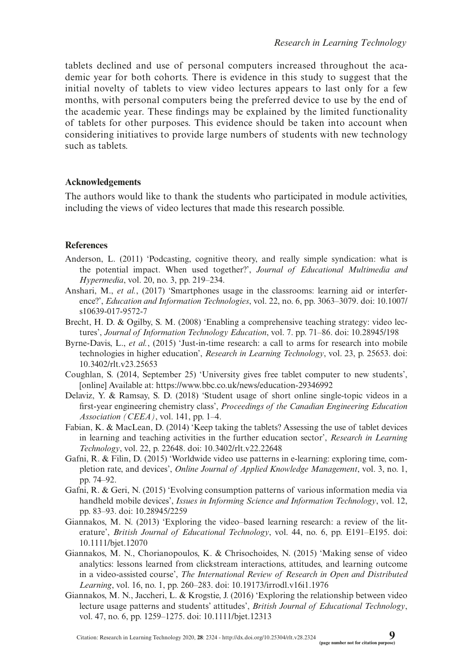tablets declined and use of personal computers increased throughout the academic year for both cohorts. There is evidence in this study to suggest that the initial novelty of tablets to view video lectures appears to last only for a few months, with personal computers being the preferred device to use by the end of the academic year. These fndings may be explained by the limited functionality of tablets for other purposes. This evidence should be taken into account when considering initiatives to provide large numbers of students with new technology such as tablets.

### **Acknowledgements**

The authors would like to thank the students who participated in module activities, including the views of video lectures that made this research possible.

#### **References**

- Anderson, L. (2011) 'Podcasting, cognitive theory, and really simple syndication: what is the potential impact. When used together?', *Journal of Educational Multimedia and Hypermedia*, vol. 20, no. 3, pp. 219–234.
- Anshari, M., *et al.*, (2017) 'Smartphones usage in the classrooms: learning aid or interference?', *Education and Information Technologies*, vol. 22, no. 6, pp. 3063–3079. doi: [10.1007/](http://dx.doi.org/10.1007/s10639-017-9572-7) [s10639-017-9572-7](http://dx.doi.org/10.1007/s10639-017-9572-7)
- Brecht, H. D. & Ogilby, S. M. (2008) 'Enabling a comprehensive teaching strategy: video lectures', *Journal of Information Technology Education*, vol. 7. pp. 71–86. doi: [10.28945/198](http://dx.doi.org/10.28945/198)
- Byrne-Davis, L., *et al.*, (2015) 'Just-in-time research: a call to arms for research into mobile technologies in higher education', *Research in Learning Technology*, vol. 23, p. 25653. doi: [10.3402/rlt.v23.25653](http://dx.doi.org/10.3402/rlt.v23.25653)
- Coughlan, S. (2014, September 25) 'University gives free tablet computer to new students', [online] Available at:<https://www.bbc.co.uk/news/education-29346992>
- Delaviz, Y. & Ramsay, S. D. (2018) 'Student usage of short online single-topic videos in a frst-year engineering chemistry class', *Proceedings of the Canadian Engineering Education Association (CEEA)*, vol. 141, pp. 1–4.
- Fabian, K. & MacLean, D. (2014) 'Keep taking the tablets? Assessing the use of tablet devices in learning and teaching activities in the further education sector', *Research in Learning Technology*, vol. 22, p. 22648. doi: [10.3402/rlt.v22.22648](http://dx.doi.org/10.3402/rlt.v22.22648)
- Gafni, R. & Filin, D. (2015) 'Worldwide video use patterns in e-learning: exploring time, completion rate, and devices', *Online Journal of Applied Knowledge Management*, vol. 3, no. 1, pp. 74–92.
- Gafni, R. & Geri, N. (2015) 'Evolving consumption patterns of various information media via handheld mobile devices', *Issues in Informing Science and Information Technology*, vol. 12, pp. 83–93. doi: [10.28945/2259](http://dx.doi.org/10.28945/2259)
- Giannakos, M. N. (2013) 'Exploring the video–based learning research: a review of the literature', *British Journal of Educational Technology*, vol. 44, no. 6, pp. E191–E195. doi: [10.1111/bjet.12070](http://dx.doi.org/10.1111/bjet.12070)
- Giannakos, M. N., Chorianopoulos, K. & Chrisochoides, N. (2015) 'Making sense of video analytics: lessons learned from clickstream interactions, attitudes, and learning outcome in a video-assisted course', *The International Review of Research in Open and Distributed Learning*, vol. 16, no. 1, pp. 260–283. doi: [10.19173/irrodl.v16i1.1976](http://dx.doi.org/10.19173/irrodl.v16i1.1976)
- Giannakos, M. N., Jaccheri, L. & Krogstie, J. (2016) 'Exploring the relationship between video lecture usage patterns and students' attitudes', *British Journal of Educational Technology*, vol. 47, no. 6, pp. 1259–1275. doi: [10.1111/bjet.12313](http://dx.doi.org/10.1111/bjet.12313)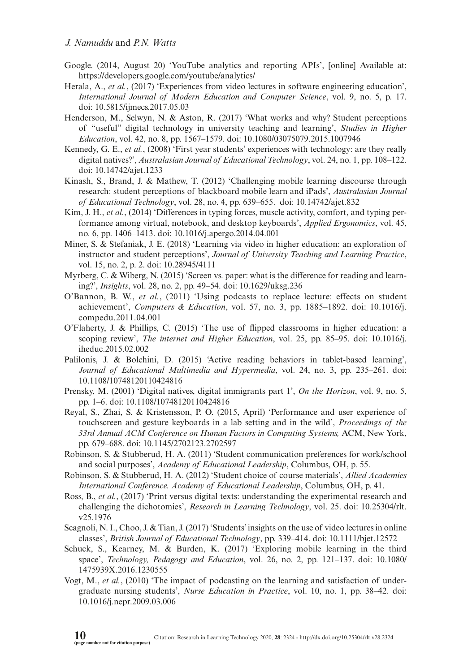- Google. (2014, August 20) 'YouTube analytics and reporting APIs', [online] Available at: <https://developers.google.com/youtube/analytics/>
- Herala, A., *et al.*, (2017) 'Experiences from video lectures in software engineering education', *International Journal of Modern Education and Computer Science*, vol. 9, no. 5, p. 17. doi: [10.5815/ijmecs.2017.05.03](http://dx.doi.org/10.5815/ijmecs.2017.05.03)
- Henderson, M., Selwyn, N. & Aston, R. (2017) 'What works and why? Student perceptions of "useful" digital technology in university teaching and learning', *Studies in Higher Education*, vol. 42, no. 8, pp. 1567–1579. doi: [10.1080/03075079.2015.1007946](http://dx.doi.org/10.1080/03075079.2015.1007946)
- Kennedy, G. E., *et al.*, (2008) 'First year students' experiences with technology: are they really digital natives?', *Australasian Journal of Educational Technology*, vol. 24, no. 1, pp. 108–122. doi: [10.14742/ajet.1233](http://dx.doi.org/10.14742/ajet.1233)
- Kinash, S., Brand, J. & Mathew, T. (2012) 'Challenging mobile learning discourse through research: student perceptions of blackboard mobile learn and iPads', *Australasian Journal of Educational Technology*, vol. 28, no. 4, pp. 639–655. doi: [10.14742/ajet.832](http://dx.doi.org/10.14742/ajet.832)
- Kim, J. H., *et al.*, (2014) 'Differences in typing forces, muscle activity, comfort, and typing performance among virtual, notebook, and desktop keyboards', *Applied Ergonomics*, vol. 45, no. 6, pp. 1406–1413. doi: [10.1016/j.apergo.2014.04.001](http://dx.doi.org/10.1016/j.apergo.2014.04.001)
- Miner, S. & Stefaniak, J. E. (2018) 'Learning via video in higher education: an exploration of instructor and student perceptions', *Journal of University Teaching and Learning Practice*, vol. 15, no. 2, p. 2. doi: [10.28945/4111](http://dx.doi.org/10.28945/4111)
- Myrberg, C. & Wiberg, N. (2015) 'Screen vs. paper: what is the difference for reading and learning?', *Insights*, vol. 28, no. 2, pp. 49–54. doi: [10.1629/uksg.236](http://dx.doi.org/10.1629/uksg.236)
- O'Bannon, B. W., *et al.*, (2011) 'Using podcasts to replace lecture: effects on student achievement', *Computers & Education*, vol. 57, no. 3, pp. 1885–1892. doi: [10.1016/j.](http://dx.doi.org/10.1016/j.compedu.2011.04.001) [compedu.2011.04.001](http://dx.doi.org/10.1016/j.compedu.2011.04.001)
- O'Flaherty, J. & Phillips, C. (2015) 'The use of fipped classrooms in higher education: a scoping review', *The internet and Higher Education*, vol. 25, pp. 85–95. doi: [10.1016/j.](http://dx.doi.org/10.1016/j.iheduc.2015.02.002) [iheduc.2015.02.002](http://dx.doi.org/10.1016/j.iheduc.2015.02.002)
- Palilonis, J. & Bolchini, D. (2015) 'Active reading behaviors in tablet-based learning', *Journal of Educational Multimedia and Hypermedia*, vol. 24, no. 3, pp. 235–261. doi: [10.1108/10748120110424816](http://dx.doi.org/10.1108/10748120110424816)
- Prensky, M. (2001) 'Digital natives, digital immigrants part 1', *On the Horizon*, vol. 9, no. 5, pp. 1–6. doi: [10.1108/10748120110424816](http://dx.doi.org/10.1108/10748120110424816)
- Reyal, S., Zhai, S. & Kristensson, P. O. (2015, April) 'Performance and user experience of touchscreen and gesture keyboards in a lab setting and in the wild', *Proceedings of the 33rd Annual ACM Conference on Human Factors in Computing Systems,* ACM, New York, pp. 679–688. doi: [10.1145/2702123.2702597](http://dx.doi.org/10.1145/2702123.2702597)
- Robinson, S. & Stubberud, H. A. (2011) 'Student communication preferences for work/school and social purposes', *Academy of Educational Leadership*, Columbus, OH, p. 55.
- Robinson, S. & Stubberud, H. A. (2012) 'Student choice of course materials', *Allied Academies International Conference. Academy of Educational Leadership*, Columbus, OH, p. 41.
- Ross, B., *et al.*, (2017) 'Print versus digital texts: understanding the experimental research and challenging the dichotomies', *Research in Learning Technology*, vol. 25. doi: [10.25304/rlt.](http://dx.doi.org/10.25304/rlt.v25.1976) [v25.1976](http://dx.doi.org/10.25304/rlt.v25.1976)
- Scagnoli, N. I., Choo, J. & Tian, J. (2017) 'Students' insights on the use of video lectures in online classes', *British Journal of Educational Technology*, pp. 339–414. doi: [10.1111/bjet.12572](http://dx.doi.org/10.1111/bjet.12572)
- Schuck, S., Kearney, M. & Burden, K. (2017) 'Exploring mobile learning in the third space', *Technology, Pedagogy and Education*, vol. 26, no. 2, pp. 121–137. doi: [10.1080/](http://dx.doi.org/10.1080/1475939X.2016.1230555) [1475939X.2016.1230555](http://dx.doi.org/10.1080/1475939X.2016.1230555)
- Vogt, M., *et al.*, (2010) 'The impact of podcasting on the learning and satisfaction of undergraduate nursing students', *Nurse Education in Practice*, vol. 10, no. 1, pp. 38–42. doi: [10.1016/j.nepr.2009.03.006](http://dx.doi.org/10.1016/j.nepr.2009.03.006)